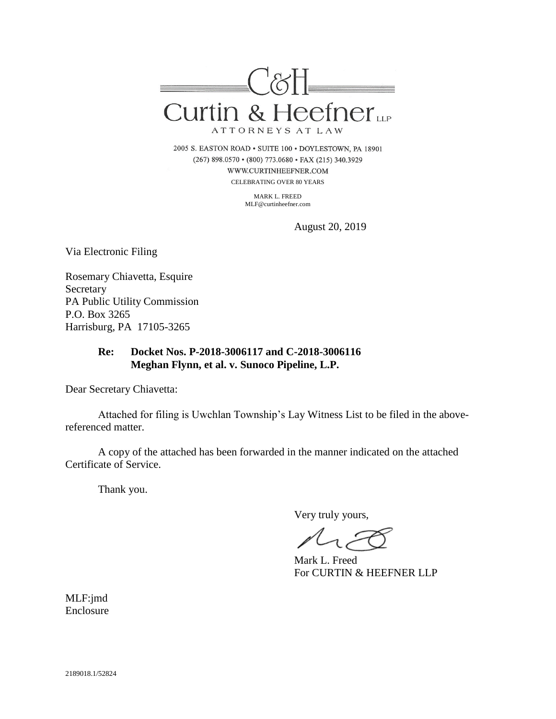

2005 S. EASTON ROAD . SUITE 100 . DOYLESTOWN, PA 18901 (267) 898.0570 · (800) 773.0680 · FAX (215) 340.3929 WWW.CURTINHEEFNER.COM CELEBRATING OVER 80 YEARS

> MARK L. FREED MLF@curtinheefner.com

> > August 20, 2019

Via Electronic Filing

Rosemary Chiavetta, Esquire Secretary PA Public Utility Commission P.O. Box 3265 Harrisburg, PA 17105-3265

# **Re: Docket Nos. P-2018-3006117 and C-2018-3006116 Meghan Flynn, et al. v. Sunoco Pipeline, L.P.**

Dear Secretary Chiavetta:

Attached for filing is Uwchlan Township's Lay Witness List to be filed in the abovereferenced matter.

A copy of the attached has been forwarded in the manner indicated on the attached Certificate of Service.

Thank you.

Very truly yours,

Mark L. Freed For CURTIN & HEEFNER LLP

MLF:jmd Enclosure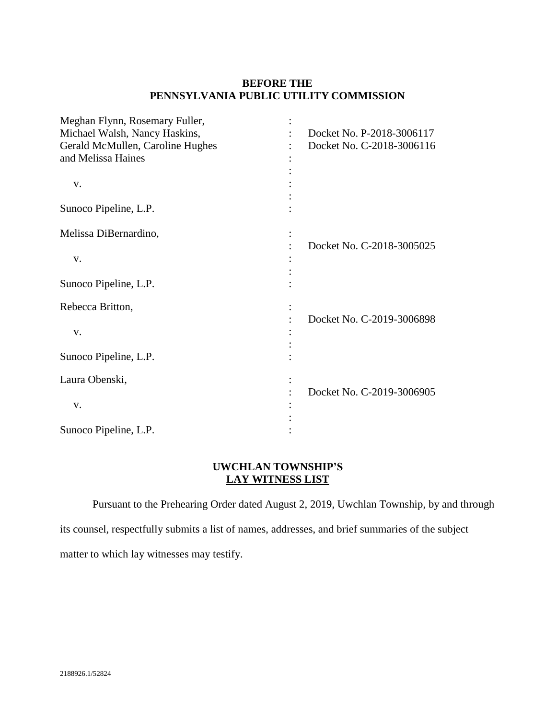### **BEFORE THE PENNSYLVANIA PUBLIC UTILITY COMMISSION**

| Meghan Flynn, Rosemary Fuller,   |                           |
|----------------------------------|---------------------------|
| Michael Walsh, Nancy Haskins,    | Docket No. P-2018-3006117 |
| Gerald McMullen, Caroline Hughes | Docket No. C-2018-3006116 |
| and Melissa Haines               |                           |
|                                  |                           |
| V.                               |                           |
|                                  |                           |
| Sunoco Pipeline, L.P.            |                           |
|                                  |                           |
| Melissa DiBernardino,            |                           |
|                                  | Docket No. C-2018-3005025 |
| V.                               |                           |
|                                  |                           |
| Sunoco Pipeline, L.P.            |                           |
| Rebecca Britton,                 |                           |
|                                  | Docket No. C-2019-3006898 |
| V.                               |                           |
|                                  |                           |
| Sunoco Pipeline, L.P.            |                           |
|                                  |                           |
| Laura Obenski,                   |                           |
|                                  | Docket No. C-2019-3006905 |
| v.                               |                           |
|                                  |                           |
| Sunoco Pipeline, L.P.            |                           |

## **UWCHLAN TOWNSHIP'S LAY WITNESS LIST**

Pursuant to the Prehearing Order dated August 2, 2019, Uwchlan Township, by and through its counsel, respectfully submits a list of names, addresses, and brief summaries of the subject matter to which lay witnesses may testify.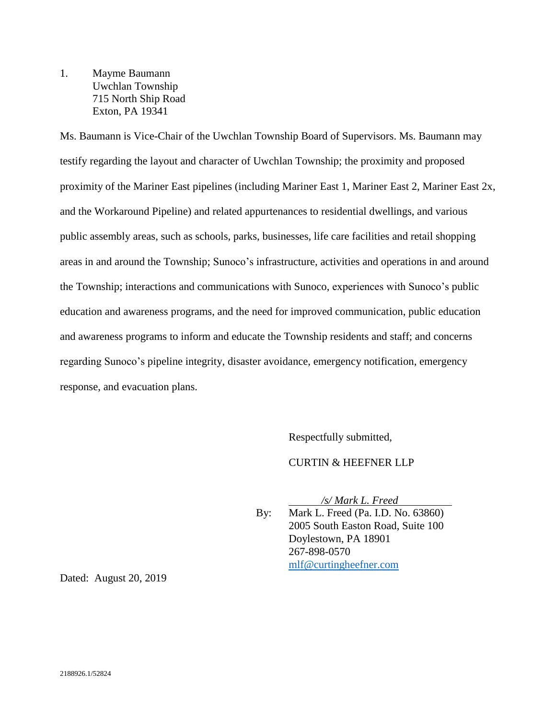1. Mayme Baumann Uwchlan Township 715 North Ship Road Exton, PA 19341

Ms. Baumann is Vice-Chair of the Uwchlan Township Board of Supervisors. Ms. Baumann may testify regarding the layout and character of Uwchlan Township; the proximity and proposed proximity of the Mariner East pipelines (including Mariner East 1, Mariner East 2, Mariner East 2x, and the Workaround Pipeline) and related appurtenances to residential dwellings, and various public assembly areas, such as schools, parks, businesses, life care facilities and retail shopping areas in and around the Township; Sunoco's infrastructure, activities and operations in and around the Township; interactions and communications with Sunoco, experiences with Sunoco's public education and awareness programs, and the need for improved communication, public education and awareness programs to inform and educate the Township residents and staff; and concerns regarding Sunoco's pipeline integrity, disaster avoidance, emergency notification, emergency response, and evacuation plans.

Respectfully submitted,

#### CURTIN & HEEFNER LLP

*/s/ Mark L. Freed*

By: Mark L. Freed (Pa. I.D. No. 63860) 2005 South Easton Road, Suite 100 Doylestown, PA 18901 267-898-0570 [mlf@curtingheefner.com](mailto:mlf@curtingheefner.com)

Dated: August 20, 2019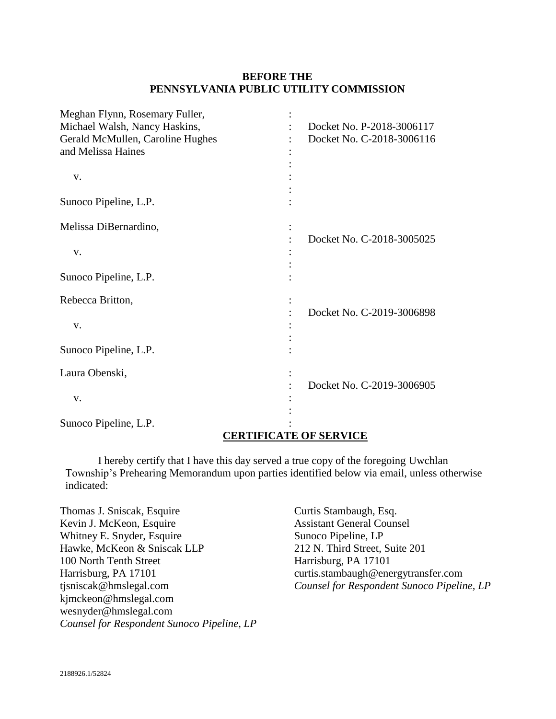## **BEFORE THE PENNSYLVANIA PUBLIC UTILITY COMMISSION**

| Meghan Flynn, Rosemary Fuller,<br>Michael Walsh, Nancy Haskins, | Docket No. P-2018-3006117 |
|-----------------------------------------------------------------|---------------------------|
| Gerald McMullen, Caroline Hughes                                | Docket No. C-2018-3006116 |
| and Melissa Haines                                              |                           |
|                                                                 |                           |
| V.                                                              |                           |
| Sunoco Pipeline, L.P.                                           |                           |
| Melissa DiBernardino,                                           |                           |
| V.                                                              | Docket No. C-2018-3005025 |
| Sunoco Pipeline, L.P.                                           |                           |
| Rebecca Britton,                                                |                           |
| V.                                                              | Docket No. C-2019-3006898 |
| Sunoco Pipeline, L.P.                                           |                           |
| Laura Obenski,                                                  |                           |
| V.                                                              | Docket No. C-2019-3006905 |
| Sunoco Pipeline, L.P.                                           |                           |

# **CERTIFICATE OF SERVICE**

I hereby certify that I have this day served a true copy of the foregoing Uwchlan Township's Prehearing Memorandum upon parties identified below via email, unless otherwise indicated:

Thomas J. Sniscak, Esquire Kevin J. McKeon, Esquire Whitney E. Snyder, Esquire Hawke, McKeon & Sniscak LLP 100 North Tenth Street Harrisburg, PA 17101 tjsniscak@hmslegal.com kjmckeon@hmslegal.com wesnyder@hmslegal.com *Counsel for Respondent Sunoco Pipeline, LP* Curtis Stambaugh, Esq. Assistant General Counsel Sunoco Pipeline, LP 212 N. Third Street, Suite 201 Harrisburg, PA 17101 curtis.stambaugh@energytransfer.com *Counsel for Respondent Sunoco Pipeline, LP*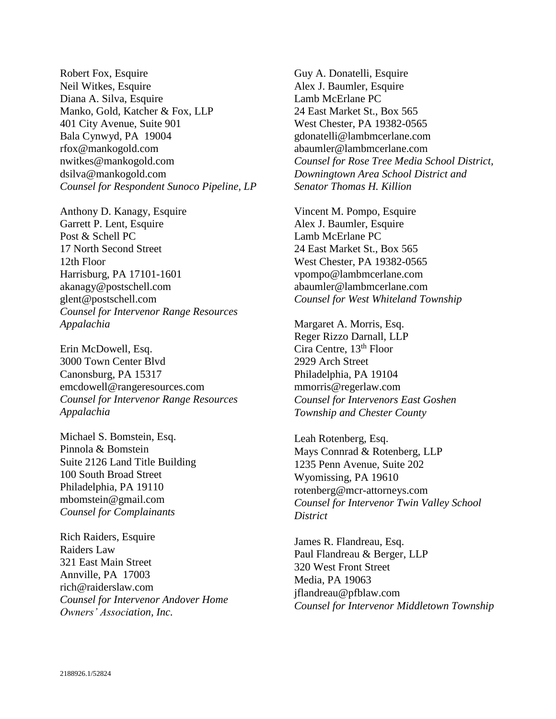Robert Fox, Esquire Neil Witkes, Esquire Diana A. Silva, Esquire Manko, Gold, Katcher & Fox, LLP 401 City Avenue, Suite 901 Bala Cynwyd, PA 19004 rfox@mankogold.com nwitkes@mankogold.com dsilva@mankogold.com *Counsel for Respondent Sunoco Pipeline, LP*

Anthony D. Kanagy, Esquire Garrett P. Lent, Esquire Post & Schell PC 17 North Second Street 12th Floor Harrisburg, PA 17101-1601 akanagy@postschell.com glent@postschell.com *Counsel for Intervenor Range Resources Appalachia*

Erin McDowell, Esq. 3000 Town Center Blvd Canonsburg, PA 15317 emcdowell@rangeresources.com *Counsel for Intervenor Range Resources Appalachia*

Michael S. Bomstein, Esq. Pinnola & Bomstein Suite 2126 Land Title Building 100 South Broad Street Philadelphia, PA 19110 mbomstein@gmail.com *Counsel for Complainants*

Rich Raiders, Esquire Raiders Law 321 East Main Street Annville, PA 17003 rich@raiderslaw.com *Counsel for Intervenor Andover Home Owners' Association, Inc.*

Guy A. Donatelli, Esquire Alex J. Baumler, Esquire Lamb McErlane PC 24 East Market St., Box 565 West Chester, PA 19382-0565 gdonatelli@lambmcerlane.com abaumler@lambmcerlane.com *Counsel for Rose Tree Media School District, Downingtown Area School District and Senator Thomas H. Killion*

Vincent M. Pompo, Esquire Alex J. Baumler, Esquire Lamb McErlane PC 24 East Market St., Box 565 West Chester, PA 19382-0565 vpompo@lambmcerlane.com abaumler@lambmcerlane.com *Counsel for West Whiteland Township*

Margaret A. Morris, Esq. Reger Rizzo Darnall, LLP Cira Centre, 13th Floor 2929 Arch Street Philadelphia, PA 19104 mmorris@regerlaw.com *Counsel for Intervenors East Goshen Township and Chester County*

Leah Rotenberg, Esq. Mays Connrad & Rotenberg, LLP 1235 Penn Avenue, Suite 202 Wyomissing, PA 19610 rotenberg@mcr-attorneys.com *Counsel for Intervenor Twin Valley School District*

James R. Flandreau, Esq. Paul Flandreau & Berger, LLP 320 West Front Street Media, PA 19063 jflandreau@pfblaw.com *Counsel for Intervenor Middletown Township*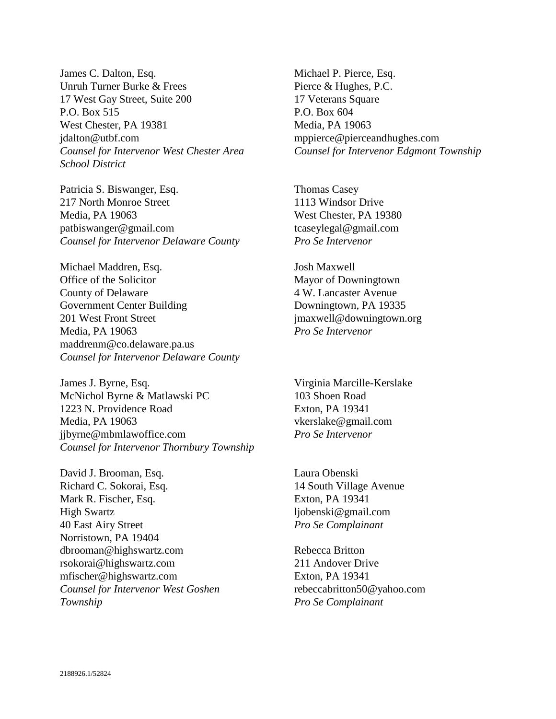James C. Dalton, Esq. Unruh Turner Burke & Frees 17 West Gay Street, Suite 200 P.O. Box 515 West Chester, PA 19381 jdalton@utbf.com *Counsel for Intervenor West Chester Area School District*

Patricia S. Biswanger, Esq. 217 North Monroe Street Media, PA 19063 patbiswanger@gmail.com *Counsel for Intervenor Delaware County*

Michael Maddren, Esq. Office of the Solicitor County of Delaware Government Center Building 201 West Front Street Media, PA 19063 maddrenm@co.delaware.pa.us *Counsel for Intervenor Delaware County*

James J. Byrne, Esq. McNichol Byrne & Matlawski PC 1223 N. Providence Road Media, PA 19063 jjbyrne@mbmlawoffice.com *Counsel for Intervenor Thornbury Township*

David J. Brooman, Esq. Richard C. Sokorai, Esq. Mark R. Fischer, Esq. High Swartz 40 East Airy Street Norristown, PA 19404 dbrooman@highswartz.com rsokorai@highswartz.com mfischer@highswartz.com *Counsel for Intervenor West Goshen Township*

Michael P. Pierce, Esq. Pierce & Hughes, P.C. 17 Veterans Square P.O. Box 604 Media, PA 19063 mppierce@pierceandhughes.com *Counsel for Intervenor Edgmont Township*

Thomas Casey 1113 Windsor Drive West Chester, PA 19380 tcaseylegal@gmail.com *Pro Se Intervenor*

Josh Maxwell Mayor of Downingtown 4 W. Lancaster Avenue Downingtown, PA 19335 jmaxwell@downingtown.org *Pro Se Intervenor*

Virginia Marcille-Kerslake 103 Shoen Road Exton, PA 19341 vkerslake@gmail.com *Pro Se Intervenor*

Laura Obenski 14 South Village Avenue Exton, PA 19341 ljobenski@gmail.com *Pro Se Complainant*

Rebecca Britton 211 Andover Drive Exton, PA 19341 rebeccabritton50@yahoo.com *Pro Se Complainant*